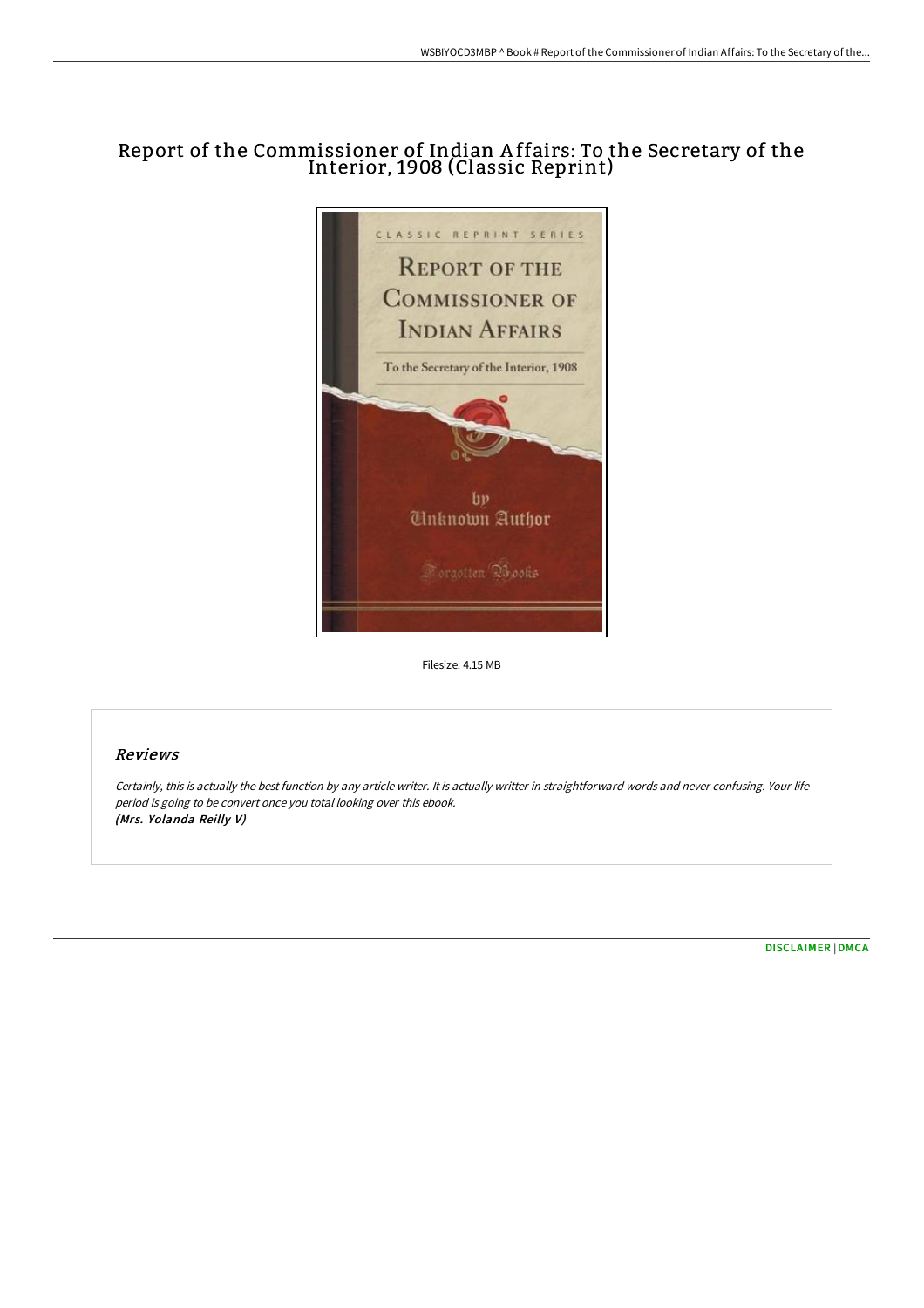## Report of the Commissioner of Indian A ffairs: To the Secretary of the Interior, 1908 (Classic Reprint)



Filesize: 4.15 MB

## Reviews

Certainly, this is actually the best function by any article writer. It is actually writter in straightforward words and never confusing. Your life period is going to be convert once you total looking over this ebook. (Mrs. Yolanda Reilly V)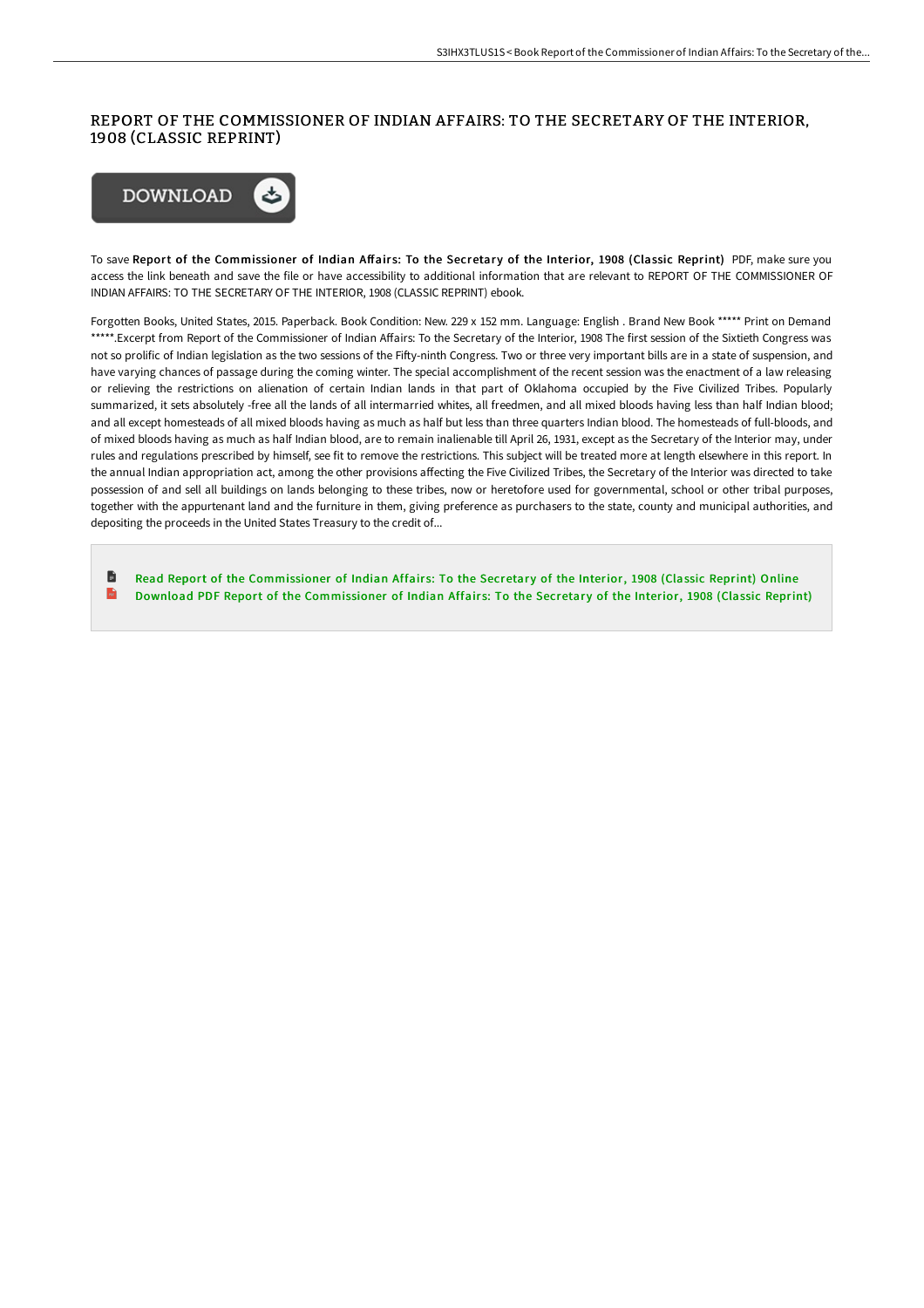## REPORT OF THE COMMISSIONER OF INDIAN AFFAIRS: TO THE SECRETARY OF THE INTERIOR, 1908 (CLASSIC REPRINT)



To save Report of the Commissioner of Indian Affairs: To the Secretary of the Interior, 1908 (Classic Reprint) PDF, make sure you access the link beneath and save the file or have accessibility to additional information that are relevant to REPORT OF THE COMMISSIONER OF INDIAN AFFAIRS: TO THE SECRETARY OF THE INTERIOR, 1908 (CLASSIC REPRINT) ebook.

Forgotten Books, United States, 2015. Paperback. Book Condition: New. 229 x 152 mm. Language: English . Brand New Book \*\*\*\*\* Print on Demand \*\*\*\*\*.Excerpt from Report of the Commissioner of Indian Affairs: To the Secretary of the Interior, 1908 The first session of the Sixtieth Congress was not so prolific of Indian legislation as the two sessions of the Fifty-ninth Congress. Two or three very important bills are in a state of suspension, and have varying chances of passage during the coming winter. The special accomplishment of the recent session was the enactment of a law releasing or relieving the restrictions on alienation of certain Indian lands in that part of Oklahoma occupied by the Five Civilized Tribes. Popularly summarized, it sets absolutely -free all the lands of all intermarried whites, all freedmen, and all mixed bloods having less than half Indian blood; and all except homesteads of all mixed bloods having as much as half but less than three quarters Indian blood. The homesteads of full-bloods, and of mixed bloods having as much as half Indian blood, are to remain inalienable till April 26, 1931, except as the Secretary of the Interior may, under rules and regulations prescribed by himself, see fit to remove the restrictions. This subject will be treated more at length elsewhere in this report. In the annual Indian appropriation act, among the other provisions affecting the Five Civilized Tribes, the Secretary of the Interior was directed to take possession of and sell all buildings on lands belonging to these tribes, now or heretofore used for governmental, school or other tribal purposes, together with the appurtenant land and the furniture in them, giving preference as purchasers to the state, county and municipal authorities, and depositing the proceeds in the United States Treasury to the credit of...

旨 Read Report of the [Commissioner](http://bookera.tech/report-of-the-commissioner-of-indian-affairs-to-.html) of Indian Affairs: To the Secretary of the Interior, 1908 (Classic Reprint) Online  $\overline{\mathbf{m}}$ Download PDF Report of the [Commissioner](http://bookera.tech/report-of-the-commissioner-of-indian-affairs-to-.html) of Indian Affairs: To the Secretary of the Interior, 1908 (Classic Reprint)